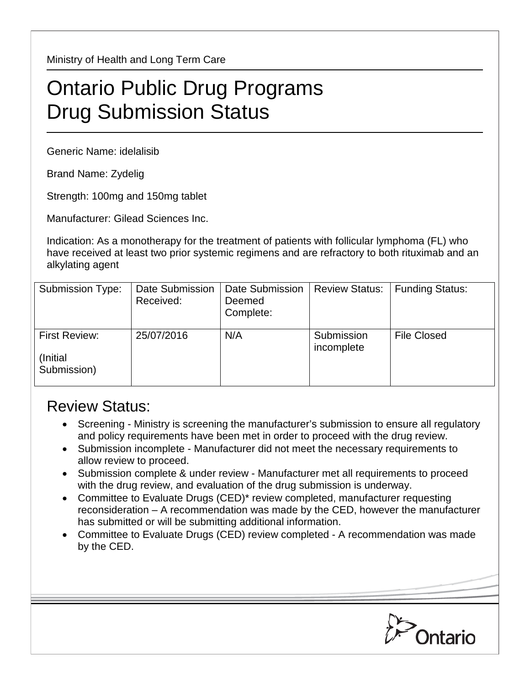Ministry of Health and Long Term Care

## Ontario Public Drug Programs Drug Submission Status

Generic Name: idelalisib

Brand Name: Zydelig

Strength: 100mg and 150mg tablet

Manufacturer: Gilead Sciences Inc.

Indication: As a monotherapy for the treatment of patients with follicular lymphoma (FL) who have received at least two prior systemic regimens and are refractory to both rituximab and an alkylating agent

| <b>Submission Type:</b>                   | Date Submission<br>Received: | Date Submission<br>Deemed<br>Complete: | <b>Review Status:</b>    | <b>Funding Status:</b> |
|-------------------------------------------|------------------------------|----------------------------------------|--------------------------|------------------------|
| First Review:<br>(Initial)<br>Submission) | 25/07/2016                   | N/A                                    | Submission<br>incomplete | <b>File Closed</b>     |

## Review Status:

- Screening Ministry is screening the manufacturer's submission to ensure all regulatory and policy requirements have been met in order to proceed with the drug review.
- Submission incomplete Manufacturer did not meet the necessary requirements to allow review to proceed.
- Submission complete & under review Manufacturer met all requirements to proceed with the drug review, and evaluation of the drug submission is underway.
- Committee to Evaluate Drugs (CED)\* review completed, manufacturer requesting reconsideration – A recommendation was made by the CED, however the manufacturer has submitted or will be submitting additional information.
- Committee to Evaluate Drugs (CED) review completed A recommendation was made by the CED.